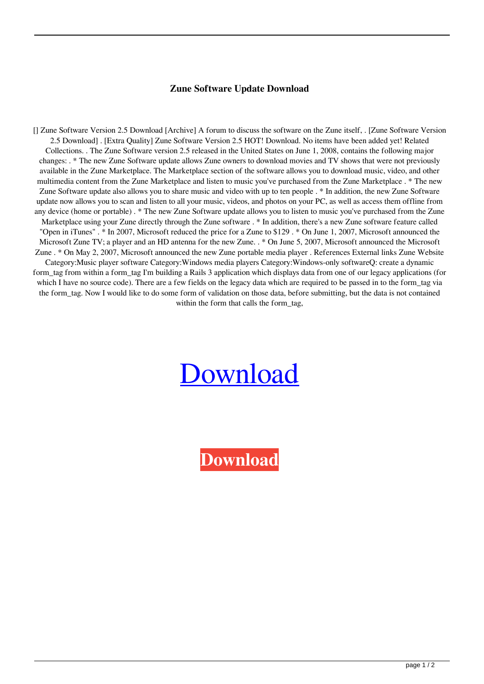## **Zune Software Update Download**

[] Zune Software Version 2.5 Download [Archive] A forum to discuss the software on the Zune itself, . [Zune Software Version 2.5 Download] . [Extra Quality] Zune Software Version 2.5 HOT! Download. No items have been added yet! Related Collections. . The Zune Software version 2.5 released in the United States on June 1, 2008, contains the following major changes: . \* The new Zune Software update allows Zune owners to download movies and TV shows that were not previously available in the Zune Marketplace. The Marketplace section of the software allows you to download music, video, and other multimedia content from the Zune Marketplace and listen to music you've purchased from the Zune Marketplace . \* The new Zune Software update also allows you to share music and video with up to ten people . \* In addition, the new Zune Software update now allows you to scan and listen to all your music, videos, and photos on your PC, as well as access them offline from any device (home or portable) . \* The new Zune Software update allows you to listen to music you've purchased from the Zune Marketplace using your Zune directly through the Zune software . \* In addition, there's a new Zune software feature called "Open in iTunes" . \* In 2007, Microsoft reduced the price for a Zune to \$129 . \* On June 1, 2007, Microsoft announced the Microsoft Zune TV; a player and an HD antenna for the new Zune. . \* On June 5, 2007, Microsoft announced the Microsoft Zune . \* On May 2, 2007, Microsoft announced the new Zune portable media player . References External links Zune Website Category:Music player software Category:Windows media players Category:Windows-only softwareQ: create a dynamic form tag from within a form tag I'm building a Rails 3 application which displays data from one of our legacy applications (for which I have no source code). There are a few fields on the legacy data which are required to be passed in to the form tag via the form\_tag. Now I would like to do some form of validation on those data, before submitting, but the data is not contained within the form that calls the form tag,

## [Download](https://urlin.us/2kzfiq)

**[Download](https://urlin.us/2kzfiq)**